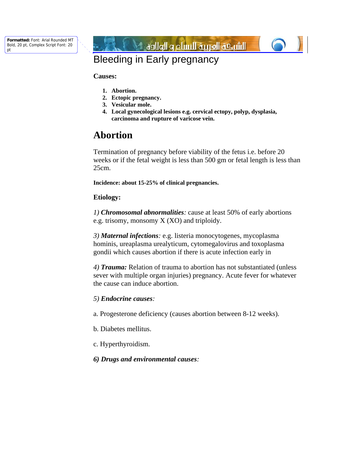**Formatted:** Font: Arial Rounded MT Bold, 20 pt, Complex Script Font: 20 pt

الشبكة العربية للنساء و الولادة. في الخ



# Bleeding in Early pregnancy

**Causes:** 

- **1. Abortion.**
- **2. Ectopic pregnancy.**
- **3. Vesicular mole.**
- **4. Local gynecological lesions e.g. cervical ectopy, polyp, dysplasia, carcinoma and rupture of varicose vein.**

# **Abortion**

Termination of pregnancy before viability of the fetus i.e. before 20 weeks or if the fetal weight is less than 500 gm or fetal length is less than 25cm.

**Incidence: about 15-25% of clinical pregnancies.** 

# **Etiology:**

*1) Chromosomal abnormalities:* cause at least 50% of early abortions e.g. trisomy, monsomy X (XO) and triploidy.

*3) Maternal infections:* e.g. listeria monocytogenes, mycoplasma hominis, ureaplasma urealyticum, cytomegalovirus and toxoplasma gondii which causes abortion if there is acute infection early in

*4) Trauma:* Relation of trauma to abortion has not substantiated (unless sever with multiple organ injuries) pregnancy. Acute fever for whatever the cause can induce abortion.

# *5) Endocrine causes:*

a. Progesterone deficiency (causes abortion between 8-12 weeks).

b. Diabetes mellitus.

c. Hyperthyroidism.

*6) Drugs and environmental causes:*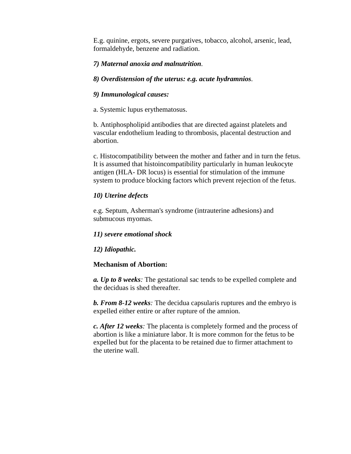E.g. quinine, ergots, severe purgatives, tobacco, alcohol, arsenic, lead, formaldehyde, benzene and radiation.

# *7) Maternal anoxia and malnutrition.*

# *8) Overdistension of the uterus: e.g. acute hydramnios.*

# *9) Immunological causes:*

a. Systemic lupus erythematosus.

b. Antiphospholipid antibodies that are directed against platelets and vascular endothelium leading to thrombosis, placental destruction and abortion.

c. Histocompatibility between the mother and father and in turn the fetus. It is assumed that histoincompatibility particularly in human leukocyte antigen (HLA- DR locus) is essential for stimulation of the immune system to produce blocking factors which prevent rejection of the fetus.

# *10) Uterine defects*

e.g. Septum, Asherman's syndrome (intrauterine adhesions) and submucous myomas.

# *11) severe emotional shock*

# *12) Idiopathic.*

# **Mechanism of Abortion:**

*a. Up to 8 weeks:* The gestational sac tends to be expelled complete and the deciduas is shed thereafter.

*b. From 8-12 weeks:* The decidua capsularis ruptures and the embryo is expelled either entire or after rupture of the amnion.

*c. After 12 weeks:* The placenta is completely formed and the process of abortion is like a miniature labor. It is more common for the fetus to be expelled but for the placenta to be retained due to firmer attachment to the uterine wall.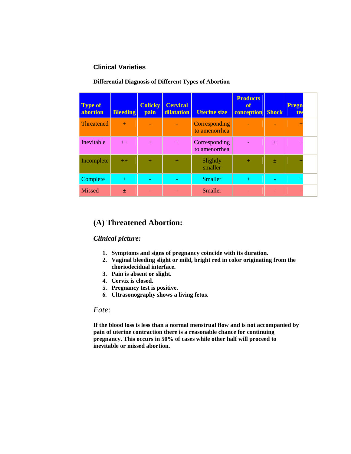## **Clinical Varieties**

## **Differential Diagnosis of Different Types of Abortion**

| <b>Type of</b><br>abortion | <b>Bleeding</b> | <b>Colicky</b><br>pain | <b>Cervical</b><br>dilatation | <b>Uterine size</b>                   | <b>Products</b><br>of<br>conception | <b>Shock</b> | <b>Pregn</b><br>tes |  |
|----------------------------|-----------------|------------------------|-------------------------------|---------------------------------------|-------------------------------------|--------------|---------------------|--|
| <b>Threatened</b>          | $+$             |                        |                               | <b>Corresponding</b><br>to amenorrhea |                                     |              |                     |  |
| Inevitable                 | $++$            | $+$                    | $+$                           | Corresponding<br>to amenorrhea        |                                     | 士            |                     |  |
| Incomplete                 | $++$            | $+$                    | $+$                           | Slightly<br>smaller                   | $+$                                 | $\pm$        |                     |  |
| Complete                   | $+$             |                        |                               | <b>Smaller</b>                        | $+$                                 |              |                     |  |
| <b>Missed</b>              | 士               |                        |                               | Smaller                               |                                     |              |                     |  |

# **(A) Threatened Abortion:**

*Clinical picture:* 

- **1. Symptoms and signs of pregnancy coincide with its duration.**
- **2. Vaginal bleeding slight or mild, bright red in color originating from the choriodecidual interface.**
- **3. Pain is absent or slight.**
- **4. Cervix is closed.**
- **5. Pregnancy test is positive.**
- *6.* **Ultrasonography shows a living fetus.**

# *Fate:*

**If the blood loss is less than a normal menstrual flow and is not accompanied by pain of uterine contraction there is a reasonable chance for continuing pregnancy. This occurs in 50% of cases while other half will proceed to inevitable or missed abortion.**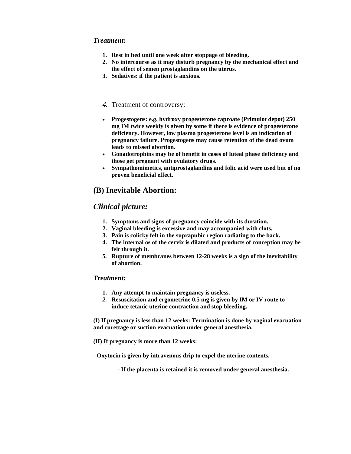## *Treatment:*

- **1. Rest in bed until one week after stoppage of bleeding.**
- **2. No intercourse as it may disturb pregnancy by the mechanical effect and the effect of semen prostaglandins on the uterus.**
- **3. Sedatives: if the patient is anxious.**
- *4.* Treatment of controversy:
- **Progestogens: e.g. hydroxy progesterone caproate (Primulot depot) 250 mg IM twice weekly is given by some if there is evidence of progesterone deficiency. However, low plasma progesterone level is an indication of pregnancy failure. Progestogens may cause retention of the dead ovum leads to missed abortion.**
- **Gonadotrophins may be of benefit in cases of luteal phase deficiency and those get pregnant with ovulatory drugs.**
- **Sympathomimetics, antiprostaglandins and folic acid were used but of no proven beneficial effect.**

# **(B) Inevitable Abortion:**

## *Clinical picture:*

- **1. Symptoms and signs of pregnancy coincide with its duration.**
- **2. Vaginal bleeding is excessive and may accompanied with clots.**
- **3. Pain is colicky felt in the suprapubic region radiating to the back.**
- **4. The internal os of the cervix is dilated and products of conception may be felt through it.**
- *5.* **Rupture of membranes between 12-28 weeks is a sign of the inevitability of abortion.**

## *Treatment:*

- **1. Any attempt to maintain pregnancy is useless.**
- *2.* **Resuscitation and ergometrine 0.5 mg is given by IM or IV route to induce tetanic uterine contraction and stop bleeding.**

**(I) If pregnancy is less than 12 weeks: Termination is done by vaginal evacuation and curettage or suction evacuation under general anesthesia.** 

- **(II) If pregnancy is more than 12 weeks:**
- **Oxytocin is given by intravenous drip to expel the uterine contents.**
	- **If the placenta is retained it is removed under general anesthesia.**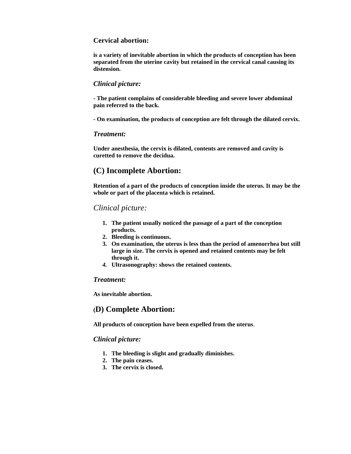## **Cervical abortion:**

**is a variety of inevitable abortion in which the products of conception has been separated from the uterine cavity but retained in the cervical canal causing its distension.** 

## *Clinical picture:*

**- The patient complains of considerable bleeding and severe lower abdominal pain referred to the back.** 

**- On examination, the products of conception are felt through the dilated cervix.**

## *Treatment:*

**Under anesthesia, the cervix is dilated, contents are removed and cavity is curetted to remove the decidua.** 

# **(C) Incomplete Abortion:**

**Retention of a part of the products of conception inside the uterus. It may be the whole or part of the placenta which is retained.** 

## *Clinical picture:*

- **1. The patient usually noticed the passage of a part of the conception products.**
- **2. Bleeding is continuous.**
- **3. On examination, the uterus is less than the period of amenorrhea but still large in size. The cervix is opened and retained contents may be felt through it.**
- *4.* **Ultrasonography: shows the retained contents.**

## *Treatment:*

**As inevitable abortion.** 

# **(D) Complete Abortion:**

**All products of conception have been expelled from the uterus**.

## *Clinical picture:*

- **1. The bleeding is slight and gradually diminishes.**
- **2. The pain ceases.**
- **3. The cervix is closed.**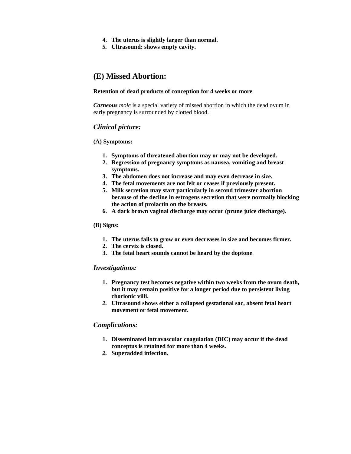- **4. The uterus is slightly larger than normal.**
- *5.* **Ultrasound: shows empty cavity.**

# **(E) Missed Abortion:**

#### **Retention of dead products of conception for 4 weeks or more**.

*Carneous mole* is a special variety of missed abortion in which the dead ovum in early pregnancy is surrounded by clotted blood.

## *Clinical picture:*

#### **(A) Symptoms:**

- **1. Symptoms of threatened abortion may or may not be developed.**
- **2. Regression of pregnancy symptoms as nausea, vomiting and breast symptoms.**
- **3. The abdomen does not increase and may even decrease in size.**
- **4. The fetal movements are not felt or ceases if previously present.**
- **5. Milk secretion may start particularly in second trimester abortion because of the decline in estrogens secretion that were normally blocking the action of prolactin on the breasts.**
- **6. A dark brown vaginal discharge may occur (prune juice discharge).**

#### **(B) Signs:**

- **1. The uterus fails to grow or even decreases in size and becomes firmer.**
- **2. The cervix is closed.**
- **3. The fetal heart sounds cannot be heard by the doptone**.

#### *Investigations:*

- **1. Pregnancy test becomes negative within two weeks from the ovum death, but it may remain positive for a longer period due to persistent living chorionic villi.**
- *2.* **Ultrasound shows either a collapsed gestational sac, absent fetal heart movement or fetal movement.**

## *Complications:*

- **1. Disseminated intravascular coagulation (DIC) may occur if the dead conceptus is retained for more than 4 weeks.**
- *2.* **Superadded infection.**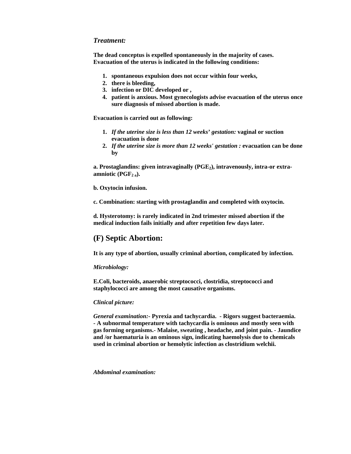## *Treatment:*

**The dead conceptus is expelled spontaneously in the majority of cases. Evacuation of the uterus is indicated in the following conditions:** 

- **1. spontaneous expulsion does not occur within four weeks,**
- **2. there is bleeding,**
- **3. infection or DIC developed or ,**
- **4. patient is anxious. Most gynecologists advise evacuation of the uterus once sure diagnosis of missed abortion is made.**

**Evacuation is carried out as following:** 

- **1.** *If the uterine size is less than 12 weeks' gestation:* **vaginal or suction evacuation is done**
- **2.** *If the uterine size is more than 12 weeks' gestation :* **evacuation can be done by**

a. Prostaglandins: given intravaginally (PGE<sub>2</sub>), intravenously, intra-or extraamniotic  $(PGF_{2a})$ .

#### **b. Oxytocin infusion.**

**c. Combination: starting with prostaglandin and completed with oxytocin.** 

**d. Hysterotomy: is rarely indicated in 2nd trimester missed abortion if the medical induction fails initially and after repetition few days later.** 

## **(F) Septic Abortion:**

**It is any type of abortion, usually criminal abortion, complicated by infection.** 

#### *Microbiology:*

**E.Coli, bacteroids, anaerobic streptococci, clostridia, streptococci and staphylococci are among the most causative organisms.** 

#### *Clinical picture:*

*General examination:***- Pyrexia and tachycardia. - Rigors suggest bacteraemia. - A subnormal temperature with tachycardia is ominous and mostly seen with gas forming organisms.- Malaise, sweating , headache, and joint pain. - Jaundice and /or haematuria is an ominous sign, indicating haemolysis due to chemicals used in criminal abortion or hemolytic infection as clostridium welchii.**

*Abdominal examination:*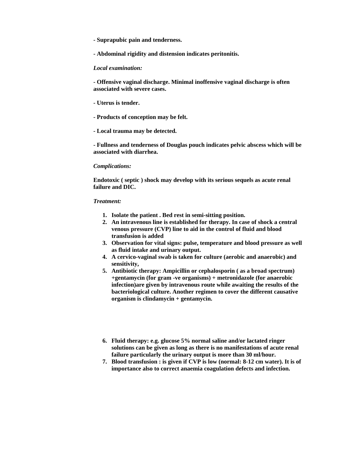**- Suprapubic pain and tenderness.** 

**- Abdominal rigidity and distension indicates peritonitis.**

#### *Local examination:*

**- Offensive vaginal discharge. Minimal inoffensive vaginal discharge is often associated with severe cases.** 

- **Uterus is tender.**
- **Products of conception may be felt.**
- **Local trauma may be detected.**

**- Fullness and tenderness of Douglas pouch indicates pelvic abscess which will be associated with diarrhea.**

#### *Complications:*

**Endotoxic ( septic ) shock may develop with its serious sequels as acute renal failure and DIC.** 

#### *Treatment:*

- **1. Isolate the patient . Bed rest in semi-sitting position.**
- **2. An intravenous line is established for therapy. In case of shock a central venous pressure (CVP) line to aid in the control of fluid and blood transfusion is added**
- **3. Observation for vital signs: pulse, temperature and blood pressure as well as fluid intake and urinary output.**
- **4. A cervico-vaginal swab is taken for culture (aerobic and anaerobic) and sensitivity,**
- **5. Antibiotic therapy: Ampicillin or cephalosporin ( as a broad spectrum) +gentamycin (for gram -ve organisms) + metronidazole (for anaerobic infection)are given by intravenous route while awaiting the results of the bacteriological culture. Another regimen to cover the different causative organism is clindamycin + gentamycin.**
- **6. Fluid therapy: e.g. glucose 5% normal saline and/or lactated ringer solutions can be given as long as there is no manifestations of acute renal failure particularly the urinary output is more than 30 ml/hour.**
- **7. Blood transfusion : is given if CVP is low (normal: 8-12 cm water). It is of importance also to correct anaemia coagulation defects and infection.**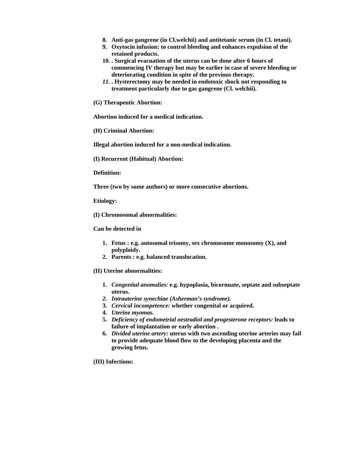- **8. Anti-gas gangrene (in Cl.welchii) and antitetanic serum (in Cl. tetani).**
- **9. Oxytocin infusion: to control bleeding and enhances expulsion of the retained products.**
- **10. . Surgical evacuation of the uterus can be done after 6 hours of commencing IV therapy but may be earlier in case of severe bleeding or deteriorating condition in spite of the previous therapy.**
- *11.* **. Hysterectomy may be needed in endotoxic shock not responding to treatment particularly due to gas gangrene (Cl. welchii).**
- **(G) Therapeutic Abortion:**

**Abortion induced for a medical indication.** 

**(H) Criminal Abortion:** 

**Illegal abortion induced for a non-medical indication.** 

**(I) Recurrent (Habitual) Abortion:** 

**Definition:** 

**Three (two by some authors) or more consecutive abortions.** 

**Etiology:** 

**(I) Chromosomal abnormalities:** 

**Can be detected in** 

- **1. Fetus : e.g. autosomal trisomy, sex chromosome monosomy (X), and polyploidy.**
- **2. Parents : e.g. balanced translocation.**
- **(II) Uterine abnormalities:** 
	- **1.** *Congenital anomalies:* **e.g. hypoplasia, bicornuate, septate and subseptate uterus.**
	- *2. Intrauterine synechiae (Asherman's syndrome).*
	- **3.** *Cervical incompetence:* **whether congenital or acquired.**
	- **4.** *Uterine myomas***.**
	- **5.** *Deficiency of endometrial oestradiol and progesterone receptors:* **leads to failure of implantation or early abortion .**
	- **6.** *Divided uterine artery:* **uterus with two ascending uterine arteries may fail to provide adequate blood flow to the developing placenta and the growing fetus.**
- **(III) Infections:**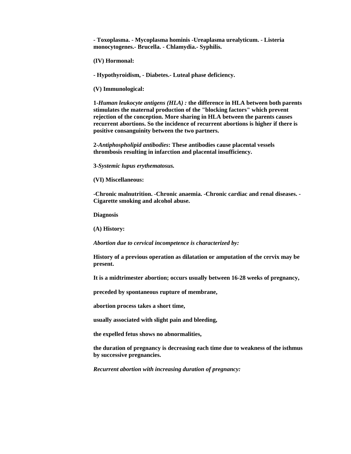**- Toxoplasma. - Mycoplasma hominis -Ureaplasma urealyticum. - Listeria monocytogenes.- Brucella. - Chlamydia.- Syphilis.** 

**(IV) Hormonal:** 

**- Hypothyroidism, - Diabetes.- Luteal phase deficiency.** 

**(V) Immunological:** 

**1-***Human leukocyte antigens (HLA) :* **the difference in HLA between both parents stimulates the maternal production of the "blocking factors" which prevent rejection of the conception. More sharing in HLA between the parents causes recurrent abortions. So the incidence of recurrent abortions is higher if there is positive consanguinity between the two partners.** 

**2-***Antiphospholipid antibodies***: These antibodies cause placental vessels thrombosis resulting in infarction and placental insufficiency.** 

**3-***Systemic lupus erythematosus.*

**(VI) Miscellaneous:** 

**-Chronic malnutrition. -Chronic anaemia. -Chronic cardiac and renal diseases. - Cigarette smoking and alcohol abuse.** 

**Diagnosis** 

**(A) History:** 

*Abortion due to cervical incompetence is characterized by:* 

**History of a previous operation as dilatation or amputation of the cervix may be present.** 

**It is a midtrimester abortion; occurs usually between 16-28 weeks of pregnancy,** 

**preceded by spontaneous rupture of membrane,** 

**abortion process takes a short time,** 

**usually associated with slight pain and bleeding,** 

**the expelled fetus shows no abnormalities,** 

**the duration of pregnancy is decreasing each time due to weakness of the isthmus by successive pregnancies.** 

*Recurrent abortion with increasing duration of pregnancy:*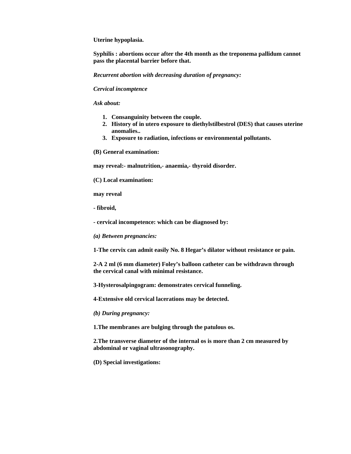**Uterine hypoplasia.** 

**Syphilis : abortions occur after the 4th month as the treponema pallidum cannot pass the placental barrier before that.** 

*Recurrent abortion with decreasing duration of pregnancy:* 

*Cervical incomptence* 

*Ask about:* 

- **1. Consanguinity between the couple.**
- **2. History of in utero exposure to diethylstilbestrol (DES) that causes uterine anomalies..**
- **3. Exposure to radiation, infections or environmental pollutants.**
- **(B) General examination:**

**may reveal:- malnutrition,- anaemia,- thyroid disorder.** 

**(C) Local examination:** 

**may reveal** 

**- fibroid,** 

**- cervical incompetence: which can be diagnosed by:** 

*(a) Between pregnancies:*

**1-The cervix can admit easily No. 8 Hegar's dilator without resistance or pain.** 

**2-A 2 ml (6 mm diameter) Foley's balloon catheter can be withdrawn through the cervical canal with minimal resistance.** 

**3-Hysterosalpingogram: demonstrates cervical funneling.** 

**4-Extensive old cervical lacerations may be detected.** 

*(b) During pregnancy:*

**1.The membranes are bulging through the patulous os.** 

**2.The transverse diameter of the internal os is more than 2 cm measured by abdominal or vaginal ultrasonography.** 

**(D) Special investigations:**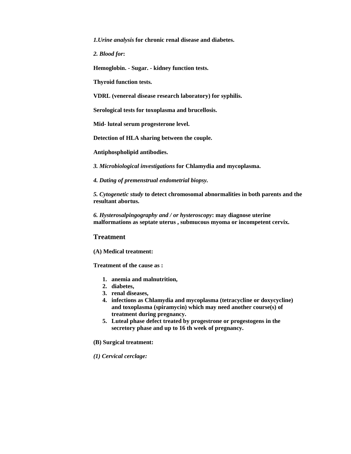*1.Urine analysis* **for chronic renal disease and diabetes.** 

*2. Blood for***:** 

**Hemoglobin. - Sugar. - kidney function tests.** 

**Thyroid function tests.** 

**VDRL (venereal disease research laboratory) for syphilis.** 

**Serological tests for toxoplasma and brucellosis.** 

**Mid- luteal serum progesterone level.** 

**Detection of HLA sharing between the couple.** 

**Antiphospholipid antibodies.** 

*3. Microbiological investigations* **for Chlamydia and mycoplasma.** 

*4. Dating of premenstrual endometrial biopsy.* 

*5. Cytogenetic study* **to detect chromosomal abnormalities in both parents and the resultant abortus.** 

*6. Hysterosalpingography and / or hysteroscopy***: may diagnose uterine malformations as septate uterus , submucous myoma or incompetent cervix.** 

**Treatment** 

**(A) Medical treatment:** 

**Treatment of the cause as :** 

- **1. anemia and malnutrition,**
- **2. diabetes,**
- **3. renal diseases,**
- **4. infections as Chlamydia and mycoplasma (tetracycline or doxycycline) and toxoplasma (spiramycin) which may need another course(s) of treatment during pregnancy.**
- **5. Luteal phase defect treated by progestrone or progestogens in the secretory phase and up to 16 th week of pregnancy.**
- **(B) Surgical treatment:**
- *(1) Cervical cerclage:*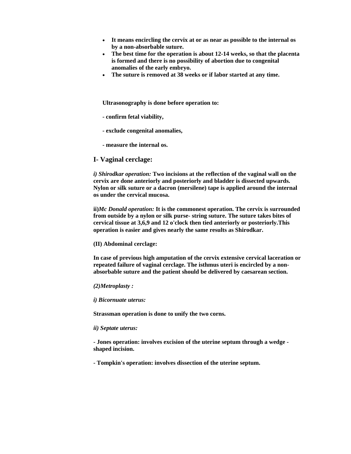- **It means encircling the cervix at or as near as possible to the internal os by a non-absorbable suture.**
- **The best time for the operation is about 12-14 weeks, so that the placenta is formed and there is no possibility of abortion due to congenital anomalies of the early embryo.**
- **The suture is removed at 38 weeks or if labor started at any time.**

**Ultrasonography is done before operation to:**

- **confirm fetal viability,**
- **exclude congenital anomalies,**
- **measure the internal os.**

#### **I- Vaginal cerclage:**

*i) Shirodkar operation:* **Two incisions at the reflection of the vaginal wall on the cervix are done anteriorly and posteriorly and bladder is dissected upwards. Nylon or silk suture or a dacron (mersilene) tape is applied around the internal os under the cervical mucosa.** 

**ii)***Mc Donald operation:* **It is the commonest operation. The cervix is surrounded from outside by a nylon or silk purse- string suture. The suture takes bites of cervical tissue at 3,6,9 and 12 o'clock then tied anteriorly or posteriorly.This operation is easier and gives nearly the same results as Shirodkar.** 

**(II) Abdominal cerclage:** 

**In case of previous high amputation of the cervix extensive cervical laceration or repeated failure of vaginal cerclage. The isthmus uteri is encircled by a nonabsorbable suture and the patient should be delivered by caesarean section.** 

*(2)Metroplasty :* 

#### *i) Bicornuate uterus:*

**Strassman operation is done to unify the two corns.**

#### *ii) Septate uterus:*

**- Jones operation: involves excision of the uterine septum through a wedge shaped incision.** 

**- Tompkin's operation: involves dissection of the uterine septum.**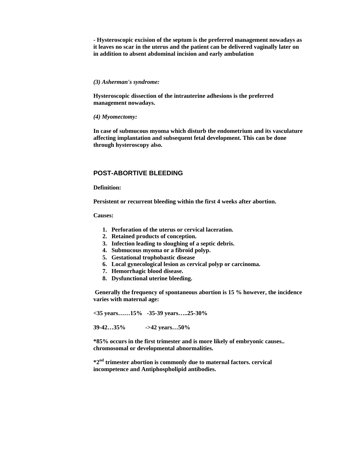**- Hysteroscopic excision of the septum is the preferred management nowadays as it leaves no scar in the uterus and the patient can be delivered vaginally later on in addition to absent abdominal incision and early ambulation** 

#### *(3) Asherman's syndrome:*

**Hysteroscopic dissection of the intrauterine adhesions is the preferred management nowadays.** 

*(4) Myomectomy:* 

**In case of submucous myoma which disturb the endometrium and its vasculature affecting implantation and subsequent fetal development. This can be done through hysteroscopy also.** 

### **POST-ABORTIVE BLEEDING**

**Definition:** 

**Persistent or recurrent bleeding within the first 4 weeks after abortion.** 

**Causes:** 

- **1. Perforation of the uterus or cervical laceration.**
- **2. Retained products of conception.**
- **3. Infection leading to sloughing of a septic debris.**
- **4. Submucous myoma or a fibroid polyp.**
- **5. Gestational trophobastic disease**
- **6. Local gynecological lesion as cervical polyp or carcinoma.**
- **7. Hemorrhagic blood disease.**
- **8. Dysfunctional uterine bleeding.**

 **Generally the frequency of spontaneous abortion is 15 % however, the incidence varies with maternal age:** 

**<35 years……15% -35-39 years…..25-30%** 

**39-42…35% ->42 years…50%** 

**\*85% occurs in the first trimester and is more likely of embryonic causes.. chromosomal or developmental abnormalities.** 

**\*2nd trimester abortion is commonly due to maternal factors. cervical incompetence and Antiphospholipid antibodies.**